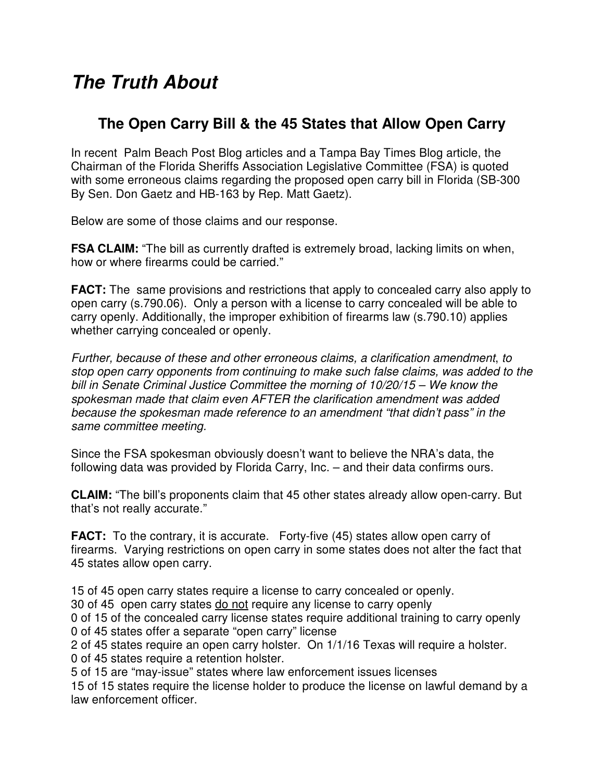## **The Truth About**

## **The Open Carry Bill & the 45 States that Allow Open Carry**

In recent Palm Beach Post Blog articles and a Tampa Bay Times Blog article, the Chairman of the Florida Sheriffs Association Legislative Committee (FSA) is quoted with some erroneous claims regarding the proposed open carry bill in Florida (SB-300 By Sen. Don Gaetz and HB-163 by Rep. Matt Gaetz).

Below are some of those claims and our response.

**FSA CLAIM:** "The bill as currently drafted is extremely broad, lacking limits on when, how or where firearms could be carried."

**FACT:** The same provisions and restrictions that apply to concealed carry also apply to open carry (s.790.06). Only a person with a license to carry concealed will be able to carry openly. Additionally, the improper exhibition of firearms law (s.790.10) applies whether carrying concealed or openly.

Further, because of these and other erroneous claims, a clarification amendment, to stop open carry opponents from continuing to make such false claims, was added to the bill in Senate Criminal Justice Committee the morning of 10/20/15 – We know the spokesman made that claim even AFTER the clarification amendment was added because the spokesman made reference to an amendment "that didn't pass" in the same committee meeting.

Since the FSA spokesman obviously doesn't want to believe the NRA's data, the following data was provided by Florida Carry, Inc. – and their data confirms ours.

**CLAIM:** "The bill's proponents claim that 45 other states already allow open-carry. But that's not really accurate."

**FACT:** To the contrary, it is accurate. Forty-five (45) states allow open carry of firearms. Varying restrictions on open carry in some states does not alter the fact that 45 states allow open carry.

15 of 45 open carry states require a license to carry concealed or openly.

30 of 45 open carry states do not require any license to carry openly

0 of 15 of the concealed carry license states require additional training to carry openly 0 of 45 states offer a separate "open carry" license

2 of 45 states require an open carry holster. On 1/1/16 Texas will require a holster. 0 of 45 states require a retention holster.

5 of 15 are "may-issue" states where law enforcement issues licenses

15 of 15 states require the license holder to produce the license on lawful demand by a law enforcement officer.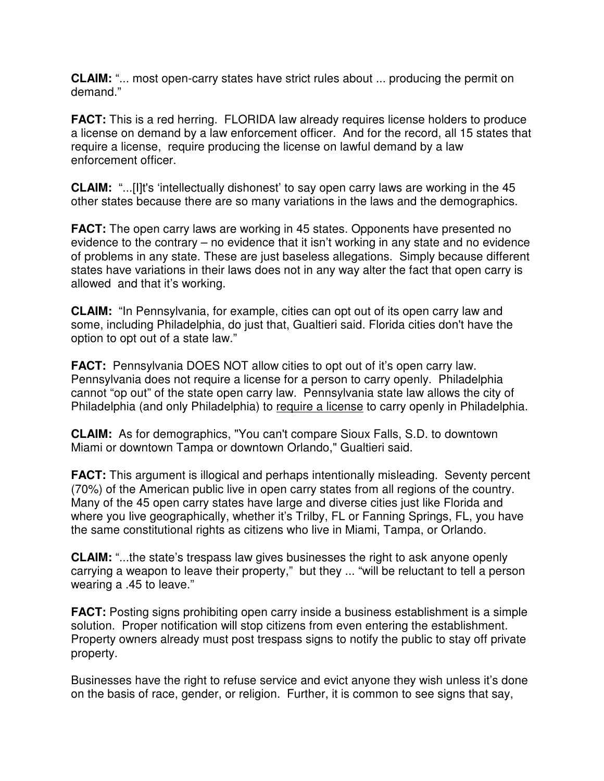**CLAIM:** "... most open-carry states have strict rules about ... producing the permit on demand."

**FACT:** This is a red herring. FLORIDA law already requires license holders to produce a license on demand by a law enforcement officer. And for the record, all 15 states that require a license, require producing the license on lawful demand by a law enforcement officer.

**CLAIM:** "...[I]t's 'intellectually dishonest' to say open carry laws are working in the 45 other states because there are so many variations in the laws and the demographics.

**FACT:** The open carry laws are working in 45 states. Opponents have presented no evidence to the contrary – no evidence that it isn't working in any state and no evidence of problems in any state. These are just baseless allegations. Simply because different states have variations in their laws does not in any way alter the fact that open carry is allowed and that it's working.

**CLAIM:** "In Pennsylvania, for example, cities can opt out of its open carry law and some, including Philadelphia, do just that, Gualtieri said. Florida cities don't have the option to opt out of a state law."

**FACT:** Pennsylvania DOES NOT allow cities to opt out of it's open carry law. Pennsylvania does not require a license for a person to carry openly. Philadelphia cannot "op out" of the state open carry law. Pennsylvania state law allows the city of Philadelphia (and only Philadelphia) to require a license to carry openly in Philadelphia.

**CLAIM:** As for demographics, "You can't compare Sioux Falls, S.D. to downtown Miami or downtown Tampa or downtown Orlando," Gualtieri said.

**FACT:** This argument is illogical and perhaps intentionally misleading. Seventy percent (70%) of the American public live in open carry states from all regions of the country. Many of the 45 open carry states have large and diverse cities just like Florida and where you live geographically, whether it's Trilby, FL or Fanning Springs, FL, you have the same constitutional rights as citizens who live in Miami, Tampa, or Orlando.

**CLAIM:** "...the state's trespass law gives businesses the right to ask anyone openly carrying a weapon to leave their property," but they ... "will be reluctant to tell a person wearing a .45 to leave."

**FACT:** Posting signs prohibiting open carry inside a business establishment is a simple solution. Proper notification will stop citizens from even entering the establishment. Property owners already must post trespass signs to notify the public to stay off private property.

Businesses have the right to refuse service and evict anyone they wish unless it's done on the basis of race, gender, or religion. Further, it is common to see signs that say,